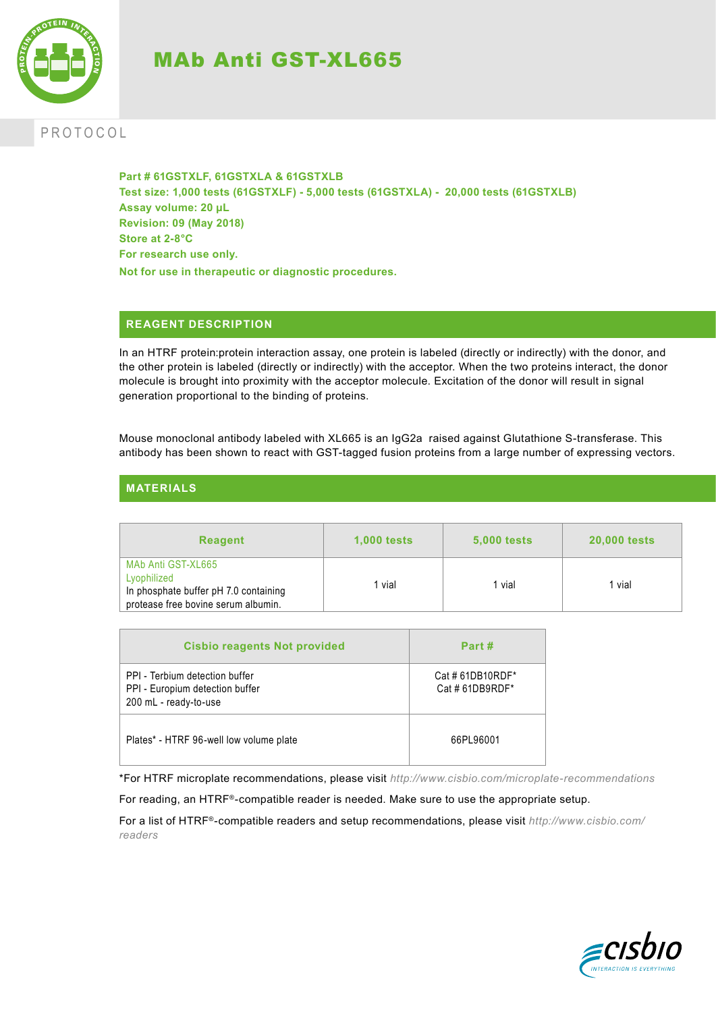

# MAb Anti GST-XL665

## PROTOCOL

**Part # 61GSTXLF, 61GSTXLA & 61GSTXLB Test size: 1,000 tests (61GSTXLF) - 5,000 tests (61GSTXLA) - 20,000 tests (61GSTXLB) Assay volume: 20 µL Revision: 09 (May 2018) Store at 2-8°C For research use only. Not for use in therapeutic or diagnostic procedures.**

## **REAGENT DESCRIPTION**

In an HTRF protein:protein interaction assay, one protein is labeled (directly or indirectly) with the donor, and the other protein is labeled (directly or indirectly) with the acceptor. When the two proteins interact, the donor molecule is brought into proximity with the acceptor molecule. Excitation of the donor will result in signal generation proportional to the binding of proteins.

Mouse monoclonal antibody labeled with XL665 is an IgG2a raised against Glutathione S-transferase. This antibody has been shown to react with GST-tagged fusion proteins from a large number of expressing vectors.

## **MATERIALS**

| <b>Reagent</b>                                                                                                    | <b>1,000 tests</b> | <b>5,000 tests</b> | <b>20,000 tests</b> |
|-------------------------------------------------------------------------------------------------------------------|--------------------|--------------------|---------------------|
| MAb Anti GST-XL665<br>Lyophilized<br>In phosphate buffer pH 7.0 containing<br>protease free bovine serum albumin. | vial               | vial               | 1 vial              |

| <b>Cisbio reagents Not provided</b>                                                        | Part #                            |
|--------------------------------------------------------------------------------------------|-----------------------------------|
| PPI - Terbium detection buffer<br>PPI - Europium detection buffer<br>200 mL - ready-to-use | Cat #61DB10RDF*<br>Cat #61DB9RDF* |
| Plates* - HTRF 96-well low volume plate                                                    | 66PL96001                         |

\*For HTRF microplate recommendations, please visit *http://www.cisbio.com/microplate-recommendations*

For reading, an HTRF®-compatible reader is needed. Make sure to use the appropriate setup.

For a list of HTRF®-compatible readers and setup recommendations, please visit *http://www.cisbio.com/ readers*